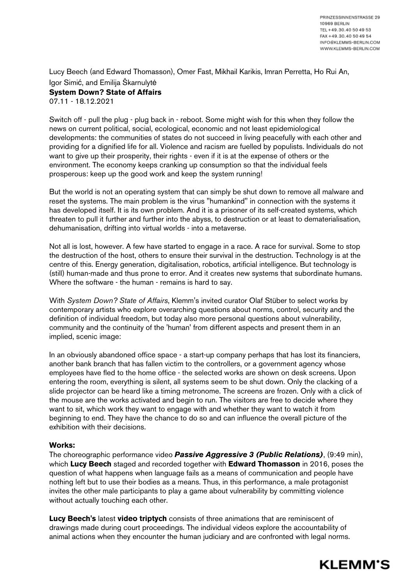Lucy Beech (and Edward Thomasson), Omer Fast, Mikhail Karikis, Imran Perretta, Ho Rui An, Igor Simić, and Emilija Škarnulytė **System Down? State of Affairs**

07.11 - 18.12.2021

Switch off - pull the plug - plug back in - reboot. Some might wish for this when they follow the news on current political, social, ecological, economic and not least epidemiological developments: the communities of states do not succeed in living peacefully with each other and providing for a dignified life for all. Violence and racism are fuelled by populists. Individuals do not want to give up their prosperity, their rights - even if it is at the expense of others or the environment. The economy keeps cranking up consumption so that the individual feels prosperous: keep up the good work and keep the system running!

But the world is not an operating system that can simply be shut down to remove all malware and reset the systems. The main problem is the virus "humankind" in connection with the systems it has developed itself. It is its own problem. And it is a prisoner of its self-created systems, which threaten to pull it further and further into the abyss, to destruction or at least to dematerialisation, dehumanisation, drifting into virtual worlds - into a metaverse.

Not all is lost, however. A few have started to engage in a race. A race for survival. Some to stop the destruction of the host, others to ensure their survival in the destruction. Technology is at the centre of this. Energy generation, digitalisation, robotics, artificial intelligence. But technology is (still) human-made and thus prone to error. And it creates new systems that subordinate humans. Where the software - the human - remains is hard to say.

With *System Down? State of Affairs*, Klemm's invited curator Olaf Stüber to select works by contemporary artists who explore overarching questions about norms, control, security and the definition of individual freedom, but today also more personal questions about vulnerability, community and the continuity of the 'human' from different aspects and present them in an implied, scenic image:

In an obviously abandoned office space - a start-up company perhaps that has lost its financiers, another bank branch that has fallen victim to the controllers, or a government agency whose employees have fled to the home office - the selected works are shown on desk screens. Upon entering the room, everything is silent, all systems seem to be shut down. Only the clacking of a slide projector can be heard like a timing metronome. The screens are frozen. Only with a click of the mouse are the works activated and begin to run. The visitors are free to decide where they want to sit, which work they want to engage with and whether they want to watch it from beginning to end. They have the chance to do so and can influence the overall picture of the exhibition with their decisions.

## **Works:**

The choreographic performance video *Passive Aggressive 3 (Public Relations)*, (9:49 min), which **Lucy Beech** staged and recorded together with **Edward Thomasson** in 2016, poses the question of what happens when language fails as a means of communication and people have nothing left but to use their bodies as a means. Thus, in this performance, a male protagonist invites the other male participants to play a game about vulnerability by committing violence without actually touching each other.

**Lucy Beech's** latest **video triptych** consists of three animations that are reminiscent of drawings made during court proceedings. The individual videos explore the accountability of animal actions when they encounter the human judiciary and are confronted with legal norms.

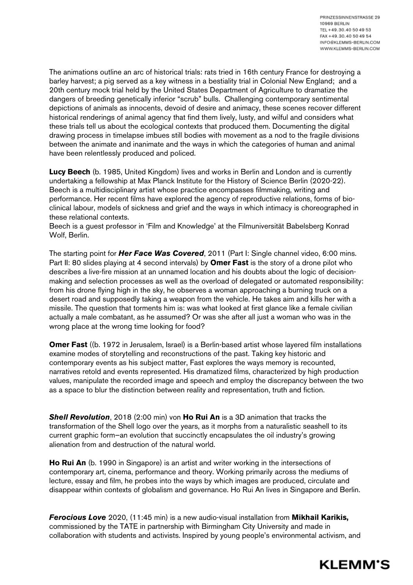The animations outline an arc of historical trials: rats tried in 16th century France for destroying a barley harvest; a pig served as a key witness in a bestiality trial in Colonial New England; and a 20th century mock trial held by the United States Department of Agriculture to dramatize the dangers of breeding genetically inferior "scrub" bulls. Challenging contemporary sentimental depictions of animals as innocents, devoid of desire and animacy, these scenes recover different historical renderings of animal agency that find them lively, lusty, and wilful and considers what these trials tell us about the ecological contexts that produced them. Documenting the digital drawing process in timelapse imbues still bodies with movement as a nod to the fragile divisions between the animate and inanimate and the ways in which the categories of human and animal have been relentlessly produced and policed.

**Lucy Beech** (b. 1985, United Kingdom) lives and works in Berlin and London and is currently undertaking a fellowship at Max Planck Institute for the History of Science Berlin (2020-22). Beech is a multidisciplinary artist whose practice encompasses filmmaking, writing and performance. Her recent films have explored the agency of reproductive relations, forms of bioclinical labour, models of sickness and grief and the ways in which intimacy is choreographed in these relational contexts.

Beech is a guest professor in 'Film and Knowledge' at the Filmuniversität Babelsberg Konrad Wolf, Berlin.

The starting point for *Her Face Was Covered*, 2011 (Part I: Single channel video, 6:00 mins. Part II: 80 slides playing at 4 second intervals) by **Omer Fast** is the story of a drone pilot who describes a live-fire mission at an unnamed location and his doubts about the logic of decisionmaking and selection processes as well as the overload of delegated or automated responsibility: from his drone flying high in the sky, he observes a woman approaching a burning truck on a desert road and supposedly taking a weapon from the vehicle. He takes aim and kills her with a missile. The question that torments him is: was what looked at first glance like a female civilian actually a male combatant, as he assumed? Or was she after all just a woman who was in the wrong place at the wrong time looking for food?

**Omer Fast** ((b. 1972 in Jerusalem, Israel) is a Berlin-based artist whose layered film installations examine modes of storytelling and reconstructions of the past. Taking key historic and contemporary events as his subject matter, Fast explores the ways memory is recounted, narratives retold and events represented. His dramatized films, characterized by high production values, manipulate the recorded image and speech and employ the discrepancy between the two as a space to blur the distinction between reality and representation, truth and fiction.

*Shell Revolution*, 2018 (2:00 min) von **Ho Rui An** is a 3D animation that tracks the transformation of the Shell logo over the years, as it morphs from a naturalistic seashell to its current graphic form—an evolution that succinctly encapsulates the oil industry's growing alienation from and destruction of the natural world.

**Ho Rui An** (b. 1990 in Singapore) is an artist and writer working in the intersections of contemporary art, cinema, performance and theory. Working primarily across the mediums of lecture, essay and film, he probes into the ways by which images are produced, circulate and disappear within contexts of globalism and governance. Ho Rui An lives in Singapore and Berlin.

*Ferocious Love* 2020, (11:45 min) is a new audio-visual installation from **Mikhail Karikis,**  commissioned by the TATE in partnership with Birmingham City University and made in collaboration with students and activists. Inspired by young people's environmental activism, and

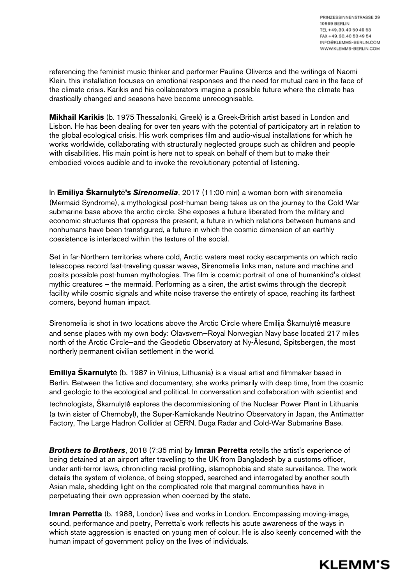referencing the feminist music thinker and performer Pauline Oliveros and the writings of Naomi Klein, this installation focuses on emotional responses and the need for mutual care in the face of the climate crisis. Karikis and his collaborators imagine a possible future where the climate has drastically changed and seasons have become unrecognisable.

**Mikhail Karikis** (b. 1975 Thessaloniki, Greek) is a Greek-British artist based in London and Lisbon. He has been dealing for over ten years with the potential of participatory art in relation to the global ecological crisis. His work comprises film and audio-visual installations for which he works worldwide, collaborating with structurally neglected groups such as children and people with disabilities. His main point is here not to speak on behalf of them but to make their embodied voices audible and to invoke the revolutionary potential of listening.

In **Emiliya Škarnulyt**!**'s** *Sirenomelia*, 2017 (11:00 min) a woman born with sirenomelia (Mermaid Syndrome), a mythological post-human being takes us on the journey to the Cold War submarine base above the arctic circle. She exposes a future liberated from the military and economic structures that oppress the present, a future in which relations between humans and nonhumans have been transfigured, a future in which the cosmic dimension of an earthly coexistence is interlaced within the texture of the social.

Set in far-Northern territories where cold, Arctic waters meet rocky escarpments on which radio telescopes record fast-traveling quasar waves, Sirenomelia links man, nature and machine and posits possible post-human mythologies. The film is cosmic portrait of one of humankind's oldest mythic creatures – the mermaid. Performing as a siren, the artist swims through the decrepit facility while cosmic signals and white noise traverse the entirety of space, reaching its farthest corners, beyond human impact.

Sirenomelia is shot in two locations above the Arctic Circle where Emilija Škarnulytė measure and sense places with my own body: Olavsvern—Royal Norwegian Navy base located 217 miles north of the Arctic Circle—and the Geodetic Observatory at Ny-Ålesund, Spitsbergen, the most northerly permanent civilian settlement in the world.

**Emiliya Škarnulyt**ė (b. 1987 in Vilnius, Lithuania) is a visual artist and filmmaker based in Berlin. Between the fictive and documentary, she works primarily with deep time, from the cosmic and geologic to the ecological and political. In conversation and collaboration with scientist and technologists, Škarnulytė explores the decommissioning of the Nuclear Power Plant in Lithuania (a twin sister of Chernobyl), the Super-Kamiokande Neutrino Observatory in Japan, the Antimatter Factory, The Large Hadron Collider at CERN, Duga Radar and Cold-War Submarine Base.

*Brothers to Brothers*, 2018 (7:35 min) by **Imran Perretta** retells the artist's experience of being detained at an airport after travelling to the UK from Bangladesh by a customs officer, under anti-terror laws, chronicling racial profiling, islamophobia and state surveillance. The work details the system of violence, of being stopped, searched and interrogated by another south Asian male, shedding light on the complicated role that marginal communities have in perpetuating their own oppression when coerced by the state.

**Imran Perretta** (b. 1988, London) lives and works in London. Encompassing moving-image, sound, performance and poetry, Perretta's work reflects his acute awareness of the ways in which state aggression is enacted on young men of colour. He is also keenly concerned with the human impact of government policy on the lives of individuals.